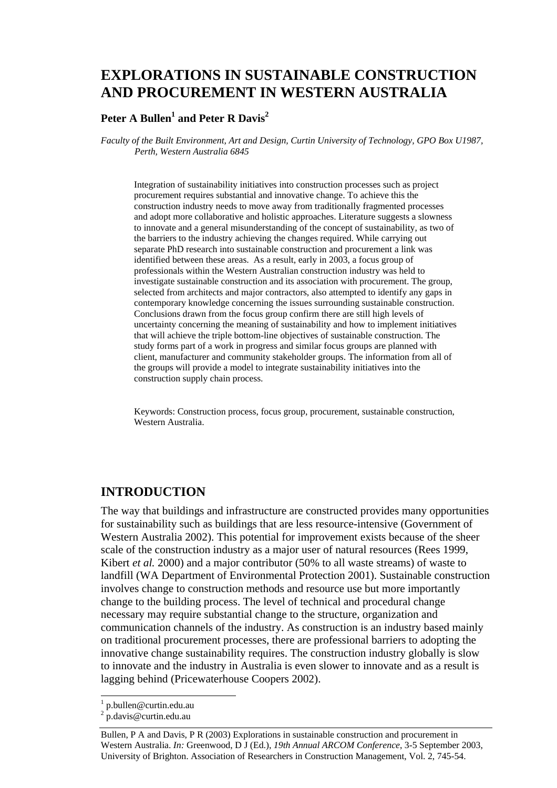# **EXPLORATIONS IN SUSTAINABLE CONSTRUCTION AND PROCUREMENT IN WESTERN AUSTRALIA**

### **Peter A Bullen1 and Peter R Davis<sup>2</sup>**

*Faculty of the Built Environment, Art and Design, Curtin University of Technology, GPO Box U1987, Perth, Western Australia 6845* 

Integration of sustainability initiatives into construction processes such as project procurement requires substantial and innovative change. To achieve this the construction industry needs to move away from traditionally fragmented processes and adopt more collaborative and holistic approaches. Literature suggests a slowness to innovate and a general misunderstanding of the concept of sustainability, as two of the barriers to the industry achieving the changes required. While carrying out separate PhD research into sustainable construction and procurement a link was identified between these areas. As a result, early in 2003, a focus group of professionals within the Western Australian construction industry was held to investigate sustainable construction and its association with procurement. The group, selected from architects and major contractors, also attempted to identify any gaps in contemporary knowledge concerning the issues surrounding sustainable construction. Conclusions drawn from the focus group confirm there are still high levels of uncertainty concerning the meaning of sustainability and how to implement initiatives that will achieve the triple bottom-line objectives of sustainable construction. The study forms part of a work in progress and similar focus groups are planned with client, manufacturer and community stakeholder groups. The information from all of the groups will provide a model to integrate sustainability initiatives into the construction supply chain process.

Keywords: Construction process, focus group, procurement, sustainable construction, Western Australia.

### **INTRODUCTION**

The way that buildings and infrastructure are constructed provides many opportunities for sustainability such as buildings that are less resource-intensive (Government of Western Australia 2002). This potential for improvement exists because of the sheer scale of the construction industry as a major user of natural resources (Rees 1999, Kibert *et al.* 2000) and a major contributor (50% to all waste streams) of waste to landfill (WA Department of Environmental Protection 2001). Sustainable construction involves change to construction methods and resource use but more importantly change to the building process. The level of technical and procedural change necessary may require substantial change to the structure, organization and communication channels of the industry. As construction is an industry based mainly on traditional procurement processes, there are professional barriers to adopting the innovative change sustainability requires. The construction industry globally is slow to innovate and the industry in Australia is even slower to innovate and as a result is lagging behind (Pricewaterhouse Coopers 2002).

l

<sup>1</sup> p.bullen@curtin.edu.au

<sup>2</sup> p.davis@curtin.edu.au

Bullen, P A and Davis, P R (2003) Explorations in sustainable construction and procurement in Western Australia. *In:* Greenwood, D J (Ed.), *19th Annual ARCOM Conference*, 3-5 September 2003, University of Brighton. Association of Researchers in Construction Management, Vol. 2, 745-54.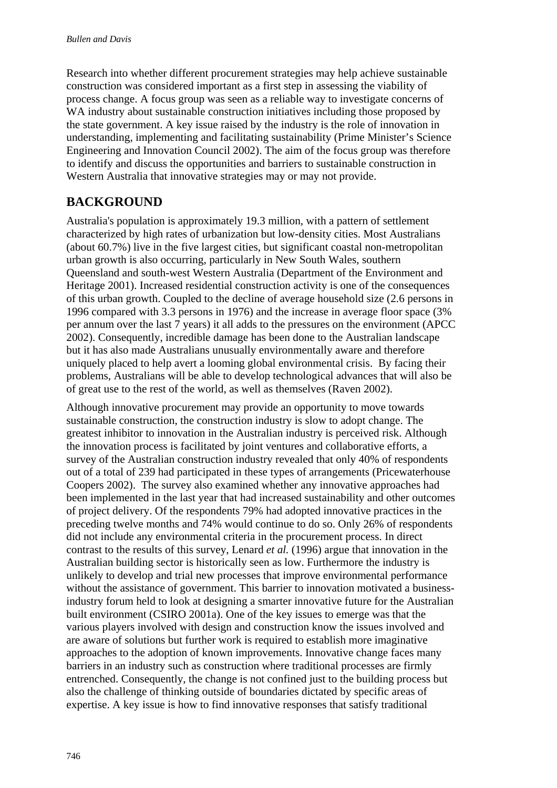Research into whether different procurement strategies may help achieve sustainable construction was considered important as a first step in assessing the viability of process change. A focus group was seen as a reliable way to investigate concerns of WA industry about sustainable construction initiatives including those proposed by the state government. A key issue raised by the industry is the role of innovation in understanding, implementing and facilitating sustainability (Prime Minister's Science Engineering and Innovation Council 2002). The aim of the focus group was therefore to identify and discuss the opportunities and barriers to sustainable construction in Western Australia that innovative strategies may or may not provide.

# **BACKGROUND**

Australia's population is approximately 19.3 million, with a pattern of settlement characterized by high rates of urbanization but low-density cities. Most Australians (about 60.7%) live in the five largest cities, but significant coastal non-metropolitan urban growth is also occurring, particularly in New South Wales, southern Queensland and south-west Western Australia (Department of the Environment and Heritage 2001). Increased residential construction activity is one of the consequences of this urban growth. Coupled to the decline of average household size (2.6 persons in 1996 compared with 3.3 persons in 1976) and the increase in average floor space (3% per annum over the last 7 years) it all adds to the pressures on the environment (APCC 2002). Consequently, incredible damage has been done to the Australian landscape but it has also made Australians unusually environmentally aware and therefore uniquely placed to help avert a looming global environmental crisis. By facing their problems, Australians will be able to develop technological advances that will also be of great use to the rest of the world, as well as themselves (Raven 2002).

Although innovative procurement may provide an opportunity to move towards sustainable construction, the construction industry is slow to adopt change. The greatest inhibitor to innovation in the Australian industry is perceived risk. Although the innovation process is facilitated by joint ventures and collaborative efforts, a survey of the Australian construction industry revealed that only 40% of respondents out of a total of 239 had participated in these types of arrangements (Pricewaterhouse Coopers 2002). The survey also examined whether any innovative approaches had been implemented in the last year that had increased sustainability and other outcomes of project delivery. Of the respondents 79% had adopted innovative practices in the preceding twelve months and 74% would continue to do so. Only 26% of respondents did not include any environmental criteria in the procurement process. In direct contrast to the results of this survey, Lenard *et al.* (1996) argue that innovation in the Australian building sector is historically seen as low. Furthermore the industry is unlikely to develop and trial new processes that improve environmental performance without the assistance of government. This barrier to innovation motivated a businessindustry forum held to look at designing a smarter innovative future for the Australian built environment (CSIRO 2001a). One of the key issues to emerge was that the various players involved with design and construction know the issues involved and are aware of solutions but further work is required to establish more imaginative approaches to the adoption of known improvements. Innovative change faces many barriers in an industry such as construction where traditional processes are firmly entrenched. Consequently, the change is not confined just to the building process but also the challenge of thinking outside of boundaries dictated by specific areas of expertise. A key issue is how to find innovative responses that satisfy traditional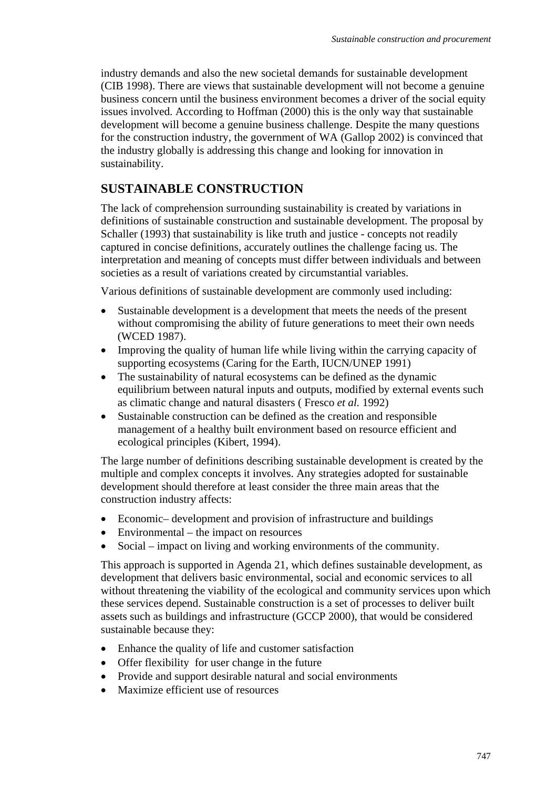industry demands and also the new societal demands for sustainable development (CIB 1998). There are views that sustainable development will not become a genuine business concern until the business environment becomes a driver of the social equity issues involved. According to Hoffman (2000) this is the only way that sustainable development will become a genuine business challenge. Despite the many questions for the construction industry, the government of WA (Gallop 2002) is convinced that the industry globally is addressing this change and looking for innovation in sustainability.

## **SUSTAINABLE CONSTRUCTION**

The lack of comprehension surrounding sustainability is created by variations in definitions of sustainable construction and sustainable development. The proposal by Schaller (1993) that sustainability is like truth and justice - concepts not readily captured in concise definitions, accurately outlines the challenge facing us. The interpretation and meaning of concepts must differ between individuals and between societies as a result of variations created by circumstantial variables.

Various definitions of sustainable development are commonly used including:

- Sustainable development is a development that meets the needs of the present without compromising the ability of future generations to meet their own needs (WCED 1987).
- Improving the quality of human life while living within the carrying capacity of supporting ecosystems (Caring for the Earth, IUCN/UNEP 1991)
- The sustainability of natural ecosystems can be defined as the dynamic equilibrium between natural inputs and outputs, modified by external events such as climatic change and natural disasters ( Fresco *et al.* 1992)
- Sustainable construction can be defined as the creation and responsible management of a healthy built environment based on resource efficient and ecological principles (Kibert, 1994).

The large number of definitions describing sustainable development is created by the multiple and complex concepts it involves. Any strategies adopted for sustainable development should therefore at least consider the three main areas that the construction industry affects:

- Economic– development and provision of infrastructure and buildings
- Environmental the impact on resources
- Social impact on living and working environments of the community.

This approach is supported in Agenda 21, which defines sustainable development, as development that delivers basic environmental, social and economic services to all without threatening the viability of the ecological and community services upon which these services depend. Sustainable construction is a set of processes to deliver built assets such as buildings and infrastructure (GCCP 2000), that would be considered sustainable because they:

- Enhance the quality of life and customer satisfaction
- Offer flexibility for user change in the future
- Provide and support desirable natural and social environments
- Maximize efficient use of resources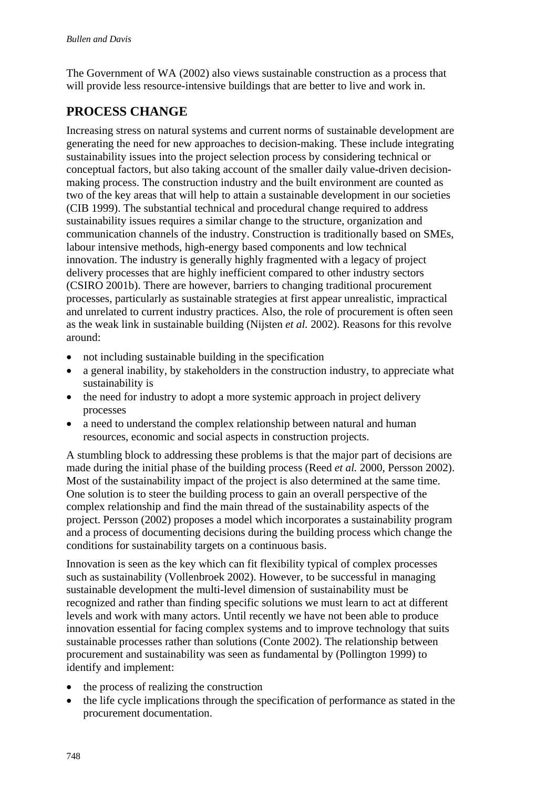The Government of WA (2002) also views sustainable construction as a process that will provide less resource-intensive buildings that are better to live and work in.

# **PROCESS CHANGE**

Increasing stress on natural systems and current norms of sustainable development are generating the need for new approaches to decision-making. These include integrating sustainability issues into the project selection process by considering technical or conceptual factors, but also taking account of the smaller daily value-driven decisionmaking process. The construction industry and the built environment are counted as two of the key areas that will help to attain a sustainable development in our societies (CIB 1999). The substantial technical and procedural change required to address sustainability issues requires a similar change to the structure, organization and communication channels of the industry. Construction is traditionally based on SMEs, labour intensive methods, high-energy based components and low technical innovation. The industry is generally highly fragmented with a legacy of project delivery processes that are highly inefficient compared to other industry sectors (CSIRO 2001b). There are however, barriers to changing traditional procurement processes, particularly as sustainable strategies at first appear unrealistic, impractical and unrelated to current industry practices. Also, the role of procurement is often seen as the weak link in sustainable building (Nijsten *et al.* 2002). Reasons for this revolve around:

- not including sustainable building in the specification
- a general inability, by stakeholders in the construction industry, to appreciate what sustainability is
- the need for industry to adopt a more systemic approach in project delivery processes
- a need to understand the complex relationship between natural and human resources, economic and social aspects in construction projects.

A stumbling block to addressing these problems is that the major part of decisions are made during the initial phase of the building process (Reed *et al.* 2000, Persson 2002). Most of the sustainability impact of the project is also determined at the same time. One solution is to steer the building process to gain an overall perspective of the complex relationship and find the main thread of the sustainability aspects of the project. Persson (2002) proposes a model which incorporates a sustainability program and a process of documenting decisions during the building process which change the conditions for sustainability targets on a continuous basis.

Innovation is seen as the key which can fit flexibility typical of complex processes such as sustainability (Vollenbroek 2002). However, to be successful in managing sustainable development the multi-level dimension of sustainability must be recognized and rather than finding specific solutions we must learn to act at different levels and work with many actors. Until recently we have not been able to produce innovation essential for facing complex systems and to improve technology that suits sustainable processes rather than solutions (Conte 2002). The relationship between procurement and sustainability was seen as fundamental by (Pollington 1999) to identify and implement:

- the process of realizing the construction
- the life cycle implications through the specification of performance as stated in the procurement documentation.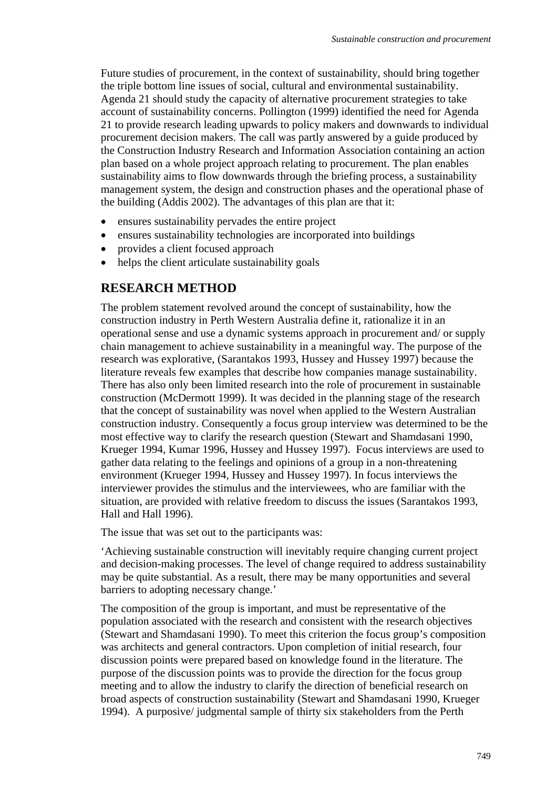Future studies of procurement, in the context of sustainability, should bring together the triple bottom line issues of social, cultural and environmental sustainability. Agenda 21 should study the capacity of alternative procurement strategies to take account of sustainability concerns. Pollington (1999) identified the need for Agenda 21 to provide research leading upwards to policy makers and downwards to individual procurement decision makers. The call was partly answered by a guide produced by the Construction Industry Research and Information Association containing an action plan based on a whole project approach relating to procurement. The plan enables sustainability aims to flow downwards through the briefing process, a sustainability management system, the design and construction phases and the operational phase of the building (Addis 2002). The advantages of this plan are that it:

- ensures sustainability pervades the entire project
- ensures sustainability technologies are incorporated into buildings
- provides a client focused approach
- helps the client articulate sustainability goals

### **RESEARCH METHOD**

The problem statement revolved around the concept of sustainability, how the construction industry in Perth Western Australia define it, rationalize it in an operational sense and use a dynamic systems approach in procurement and/ or supply chain management to achieve sustainability in a meaningful way. The purpose of the research was explorative, (Sarantakos 1993, Hussey and Hussey 1997) because the literature reveals few examples that describe how companies manage sustainability. There has also only been limited research into the role of procurement in sustainable construction (McDermott 1999). It was decided in the planning stage of the research that the concept of sustainability was novel when applied to the Western Australian construction industry. Consequently a focus group interview was determined to be the most effective way to clarify the research question (Stewart and Shamdasani 1990, Krueger 1994, Kumar 1996, Hussey and Hussey 1997). Focus interviews are used to gather data relating to the feelings and opinions of a group in a non-threatening environment (Krueger 1994, Hussey and Hussey 1997). In focus interviews the interviewer provides the stimulus and the interviewees, who are familiar with the situation, are provided with relative freedom to discuss the issues (Sarantakos 1993, Hall and Hall 1996).

The issue that was set out to the participants was:

'Achieving sustainable construction will inevitably require changing current project and decision-making processes. The level of change required to address sustainability may be quite substantial. As a result, there may be many opportunities and several barriers to adopting necessary change.'

The composition of the group is important, and must be representative of the population associated with the research and consistent with the research objectives (Stewart and Shamdasani 1990). To meet this criterion the focus group's composition was architects and general contractors. Upon completion of initial research, four discussion points were prepared based on knowledge found in the literature. The purpose of the discussion points was to provide the direction for the focus group meeting and to allow the industry to clarify the direction of beneficial research on broad aspects of construction sustainability (Stewart and Shamdasani 1990, Krueger 1994). A purposive/ judgmental sample of thirty six stakeholders from the Perth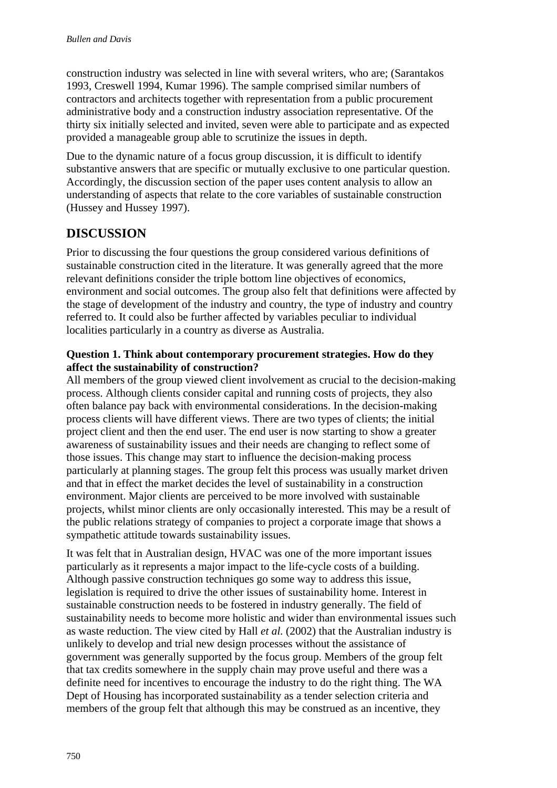construction industry was selected in line with several writers, who are; (Sarantakos 1993, Creswell 1994, Kumar 1996). The sample comprised similar numbers of contractors and architects together with representation from a public procurement administrative body and a construction industry association representative. Of the thirty six initially selected and invited, seven were able to participate and as expected provided a manageable group able to scrutinize the issues in depth.

Due to the dynamic nature of a focus group discussion, it is difficult to identify substantive answers that are specific or mutually exclusive to one particular question. Accordingly, the discussion section of the paper uses content analysis to allow an understanding of aspects that relate to the core variables of sustainable construction (Hussey and Hussey 1997).

## **DISCUSSION**

Prior to discussing the four questions the group considered various definitions of sustainable construction cited in the literature. It was generally agreed that the more relevant definitions consider the triple bottom line objectives of economics, environment and social outcomes. The group also felt that definitions were affected by the stage of development of the industry and country, the type of industry and country referred to. It could also be further affected by variables peculiar to individual localities particularly in a country as diverse as Australia.

### **Question 1. Think about contemporary procurement strategies. How do they affect the sustainability of construction?**

All members of the group viewed client involvement as crucial to the decision-making process. Although clients consider capital and running costs of projects, they also often balance pay back with environmental considerations. In the decision-making process clients will have different views. There are two types of clients; the initial project client and then the end user. The end user is now starting to show a greater awareness of sustainability issues and their needs are changing to reflect some of those issues. This change may start to influence the decision-making process particularly at planning stages. The group felt this process was usually market driven and that in effect the market decides the level of sustainability in a construction environment. Major clients are perceived to be more involved with sustainable projects, whilst minor clients are only occasionally interested. This may be a result of the public relations strategy of companies to project a corporate image that shows a sympathetic attitude towards sustainability issues.

It was felt that in Australian design, HVAC was one of the more important issues particularly as it represents a major impact to the life-cycle costs of a building. Although passive construction techniques go some way to address this issue, legislation is required to drive the other issues of sustainability home. Interest in sustainable construction needs to be fostered in industry generally. The field of sustainability needs to become more holistic and wider than environmental issues such as waste reduction. The view cited by Hall *et al.* (2002) that the Australian industry is unlikely to develop and trial new design processes without the assistance of government was generally supported by the focus group. Members of the group felt that tax credits somewhere in the supply chain may prove useful and there was a definite need for incentives to encourage the industry to do the right thing. The WA Dept of Housing has incorporated sustainability as a tender selection criteria and members of the group felt that although this may be construed as an incentive, they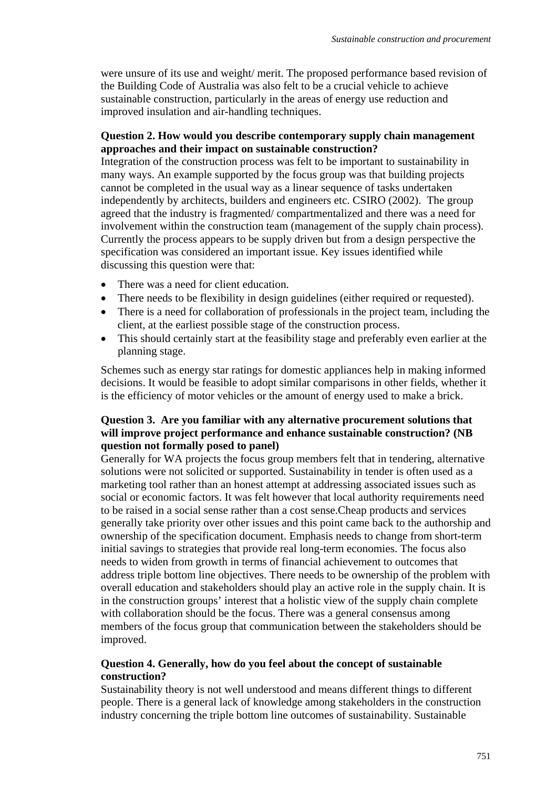were unsure of its use and weight/ merit. The proposed performance based revision of the Building Code of Australia was also felt to be a crucial vehicle to achieve sustainable construction, particularly in the areas of energy use reduction and improved insulation and air-handling techniques.

### **Question 2. How would you describe contemporary supply chain management approaches and their impact on sustainable construction?**

Integration of the construction process was felt to be important to sustainability in many ways. An example supported by the focus group was that building projects cannot be completed in the usual way as a linear sequence of tasks undertaken independently by architects, builders and engineers etc. CSIRO (2002). The group agreed that the industry is fragmented/ compartmentalized and there was a need for involvement within the construction team (management of the supply chain process). Currently the process appears to be supply driven but from a design perspective the specification was considered an important issue. Key issues identified while discussing this question were that:

- There was a need for client education.
- There needs to be flexibility in design guidelines (either required or requested).
- There is a need for collaboration of professionals in the project team, including the client, at the earliest possible stage of the construction process.
- This should certainly start at the feasibility stage and preferably even earlier at the planning stage.

Schemes such as energy star ratings for domestic appliances help in making informed decisions. It would be feasible to adopt similar comparisons in other fields, whether it is the efficiency of motor vehicles or the amount of energy used to make a brick.

#### **Question 3. Are you familiar with any alternative procurement solutions that will improve project performance and enhance sustainable construction? (NB question not formally posed to panel)**

Generally for WA projects the focus group members felt that in tendering, alternative solutions were not solicited or supported. Sustainability in tender is often used as a marketing tool rather than an honest attempt at addressing associated issues such as social or economic factors. It was felt however that local authority requirements need to be raised in a social sense rather than a cost sense.Cheap products and services generally take priority over other issues and this point came back to the authorship and ownership of the specification document. Emphasis needs to change from short-term initial savings to strategies that provide real long-term economies. The focus also needs to widen from growth in terms of financial achievement to outcomes that address triple bottom line objectives. There needs to be ownership of the problem with overall education and stakeholders should play an active role in the supply chain. It is in the construction groups' interest that a holistic view of the supply chain complete with collaboration should be the focus. There was a general consensus among members of the focus group that communication between the stakeholders should be improved.

#### **Question 4. Generally, how do you feel about the concept of sustainable construction?**

Sustainability theory is not well understood and means different things to different people. There is a general lack of knowledge among stakeholders in the construction industry concerning the triple bottom line outcomes of sustainability. Sustainable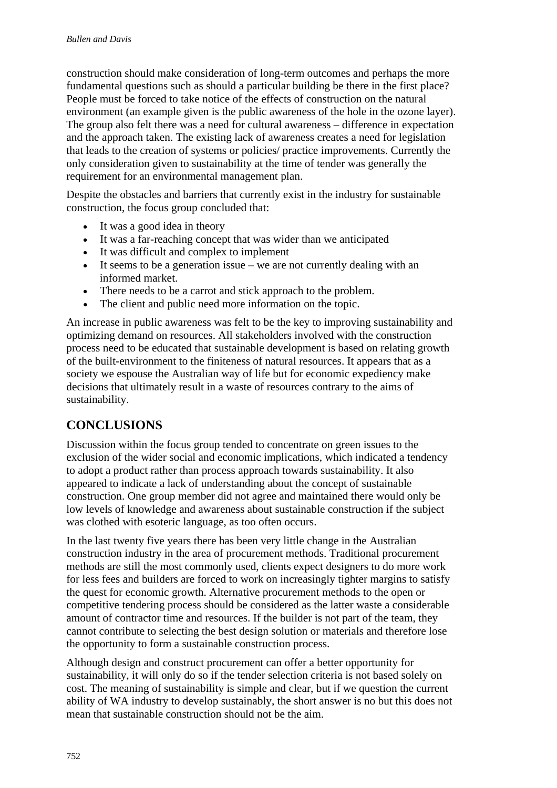construction should make consideration of long-term outcomes and perhaps the more fundamental questions such as should a particular building be there in the first place? People must be forced to take notice of the effects of construction on the natural environment (an example given is the public awareness of the hole in the ozone layer). The group also felt there was a need for cultural awareness – difference in expectation and the approach taken. The existing lack of awareness creates a need for legislation that leads to the creation of systems or policies/ practice improvements. Currently the only consideration given to sustainability at the time of tender was generally the requirement for an environmental management plan.

Despite the obstacles and barriers that currently exist in the industry for sustainable construction, the focus group concluded that:

- It was a good idea in theory
- It was a far-reaching concept that was wider than we anticipated
- It was difficult and complex to implement
- It seems to be a generation issue we are not currently dealing with an informed market.
- There needs to be a carrot and stick approach to the problem.
- The client and public need more information on the topic.

An increase in public awareness was felt to be the key to improving sustainability and optimizing demand on resources. All stakeholders involved with the construction process need to be educated that sustainable development is based on relating growth of the built-environment to the finiteness of natural resources. It appears that as a society we espouse the Australian way of life but for economic expediency make decisions that ultimately result in a waste of resources contrary to the aims of sustainability.

## **CONCLUSIONS**

Discussion within the focus group tended to concentrate on green issues to the exclusion of the wider social and economic implications, which indicated a tendency to adopt a product rather than process approach towards sustainability. It also appeared to indicate a lack of understanding about the concept of sustainable construction. One group member did not agree and maintained there would only be low levels of knowledge and awareness about sustainable construction if the subject was clothed with esoteric language, as too often occurs.

In the last twenty five years there has been very little change in the Australian construction industry in the area of procurement methods. Traditional procurement methods are still the most commonly used, clients expect designers to do more work for less fees and builders are forced to work on increasingly tighter margins to satisfy the quest for economic growth. Alternative procurement methods to the open or competitive tendering process should be considered as the latter waste a considerable amount of contractor time and resources. If the builder is not part of the team, they cannot contribute to selecting the best design solution or materials and therefore lose the opportunity to form a sustainable construction process.

Although design and construct procurement can offer a better opportunity for sustainability, it will only do so if the tender selection criteria is not based solely on cost. The meaning of sustainability is simple and clear, but if we question the current ability of WA industry to develop sustainably, the short answer is no but this does not mean that sustainable construction should not be the aim.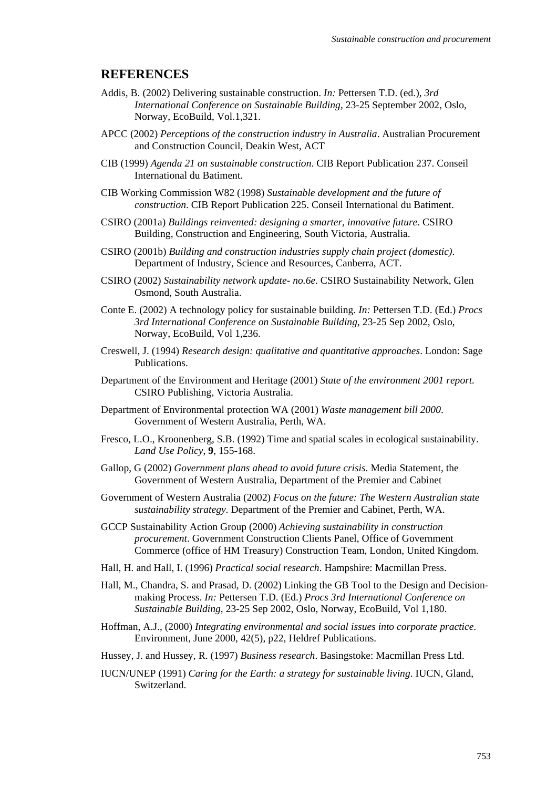#### **REFERENCES**

- Addis, B. (2002) Delivering sustainable construction. *In:* Pettersen T.D. (ed.), *3rd International Conference on Sustainable Building*, 23-25 September 2002, Oslo, Norway, EcoBuild, Vol.1,321.
- APCC (2002) *Perceptions of the construction industry in Australia*. Australian Procurement and Construction Council, Deakin West, ACT
- CIB (1999) *Agenda 21 on sustainable construction*. CIB Report Publication 237. Conseil International du Batiment.
- CIB Working Commission W82 (1998) *Sustainable development and the future of construction*. CIB Report Publication 225. Conseil International du Batiment.
- CSIRO (2001a) *Buildings reinvented: designing a smarter, innovative future*. CSIRO Building, Construction and Engineering, South Victoria, Australia.
- CSIRO (2001b) *Building and construction industries supply chain project (domestic)*. Department of Industry, Science and Resources, Canberra, ACT.
- CSIRO (2002) *Sustainability network update- no.6e*. CSIRO Sustainability Network, Glen Osmond, South Australia.
- Conte E. (2002) A technology policy for sustainable building. *In:* Pettersen T.D. (Ed.) *Procs 3rd International Conference on Sustainable Building*, 23-25 Sep 2002, Oslo, Norway, EcoBuild, Vol 1,236.
- Creswell, J. (1994) *Research design: qualitative and quantitative approaches*. London: Sage Publications.
- Department of the Environment and Heritage (2001) *State of the environment 2001 report.*  CSIRO Publishing, Victoria Australia.
- Department of Environmental protection WA (2001) *Waste management bill 2000*. Government of Western Australia, Perth, WA.
- Fresco, L.O., Kroonenberg, S.B. (1992) Time and spatial scales in ecological sustainability. *Land Use Policy*, **9**, 155-168.
- Gallop, G (2002) *Government plans ahead to avoid future crisis*. Media Statement, the Government of Western Australia, Department of the Premier and Cabinet
- Government of Western Australia (2002) *Focus on the future: The Western Australian state sustainability strategy*. Department of the Premier and Cabinet, Perth, WA.
- GCCP Sustainability Action Group (2000) *Achieving sustainability in construction procurement*. Government Construction Clients Panel, Office of Government Commerce (office of HM Treasury) Construction Team, London, United Kingdom.
- Hall, H. and Hall, I. (1996) *Practical social research*. Hampshire: Macmillan Press.
- Hall, M., Chandra, S. and Prasad, D. (2002) Linking the GB Tool to the Design and Decisionmaking Process. *In:* Pettersen T.D. (Ed.) *Procs 3rd International Conference on Sustainable Building*, 23-25 Sep 2002, Oslo, Norway, EcoBuild, Vol 1,180.
- Hoffman, A.J., (2000) *Integrating environmental and social issues into corporate practice*. Environment, June 2000, 42(5), p22, Heldref Publications.
- Hussey, J. and Hussey, R. (1997) *Business research*. Basingstoke: Macmillan Press Ltd.
- IUCN/UNEP (1991) *Caring for the Earth: a strategy for sustainable living*. IUCN, Gland, Switzerland.